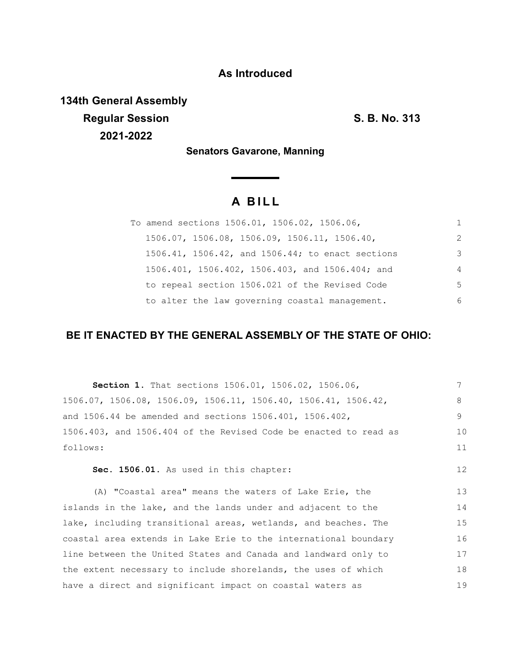## **As Introduced**

**134th General Assembly Regular Session S. B. No. 313 2021-2022**

**Senators Gavarone, Manning**

# **A B I L L**

| To amend sections 1506.01, 1506.02, 1506.06,     | 1  |
|--------------------------------------------------|----|
| 1506.07, 1506.08, 1506.09, 1506.11, 1506.40,     | 2  |
| 1506.41, 1506.42, and 1506.44; to enact sections | 3  |
| 1506.401, 1506.402, 1506.403, and 1506.404; and  | 4  |
| to repeal section 1506.021 of the Revised Code   | .5 |
| to alter the law governing coastal management.   | 6  |

### **BE IT ENACTED BY THE GENERAL ASSEMBLY OF THE STATE OF OHIO:**

| Section 1. That sections 1506.01, 1506.02, 1506.06,                                 | 7  |
|-------------------------------------------------------------------------------------|----|
| $1506.07$ , $1506.08$ , $1506.09$ , $1506.11$ , $1506.40$ , $1506.41$ , $1506.42$ , | 8  |
| and $1506.44$ be amended and sections $1506.401$ , $1506.402$ ,                     | 9  |
| 1506.403, and 1506.404 of the Revised Code be enacted to read as                    | 10 |
| follows:                                                                            | 11 |
| Sec. 1506.01. As used in this chapter:                                              | 12 |
| (A) "Coastal area" means the waters of Lake Erie, the                               | 13 |
| islands in the lake, and the lands under and adjacent to the                        | 14 |
| lake, including transitional areas, wetlands, and beaches. The                      | 15 |
| coastal area extends in Lake Erie to the international boundary                     | 16 |
| line between the United States and Canada and landward only to                      | 17 |
| the extent necessary to include shorelands, the uses of which                       | 18 |
| have a direct and significant impact on coastal waters as                           | 19 |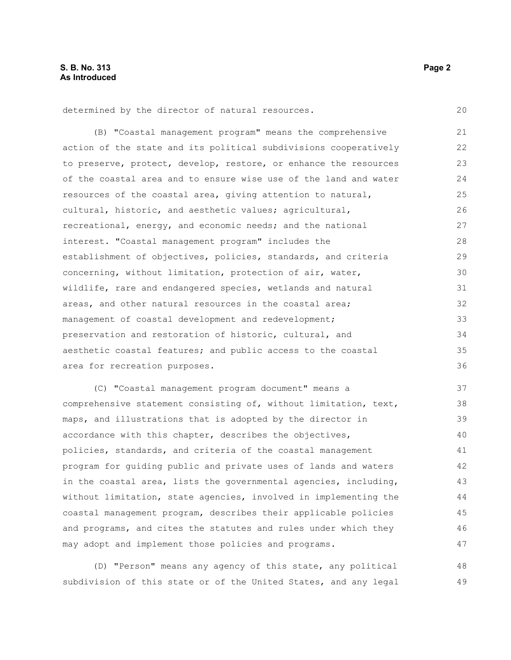determined by the director of natural resources.

(B) "Coastal management program" means the comprehensive action of the state and its political subdivisions cooperatively to preserve, protect, develop, restore, or enhance the resources of the coastal area and to ensure wise use of the land and water resources of the coastal area, giving attention to natural, cultural, historic, and aesthetic values; agricultural, recreational, energy, and economic needs; and the national interest. "Coastal management program" includes the establishment of objectives, policies, standards, and criteria concerning, without limitation, protection of air, water, wildlife, rare and endangered species, wetlands and natural areas, and other natural resources in the coastal area; management of coastal development and redevelopment; preservation and restoration of historic, cultural, and aesthetic coastal features; and public access to the coastal area for recreation purposes. 21 22 23 24 25 26 27 28 29 30 31 32 33 34 35 36

(C) "Coastal management program document" means a comprehensive statement consisting of, without limitation, text, maps, and illustrations that is adopted by the director in accordance with this chapter, describes the objectives, policies, standards, and criteria of the coastal management program for guiding public and private uses of lands and waters in the coastal area, lists the governmental agencies, including, without limitation, state agencies, involved in implementing the coastal management program, describes their applicable policies and programs, and cites the statutes and rules under which they may adopt and implement those policies and programs. 37 38 39 40 41 42 43 44 45 46 47

(D) "Person" means any agency of this state, any political subdivision of this state or of the United States, and any legal 48 49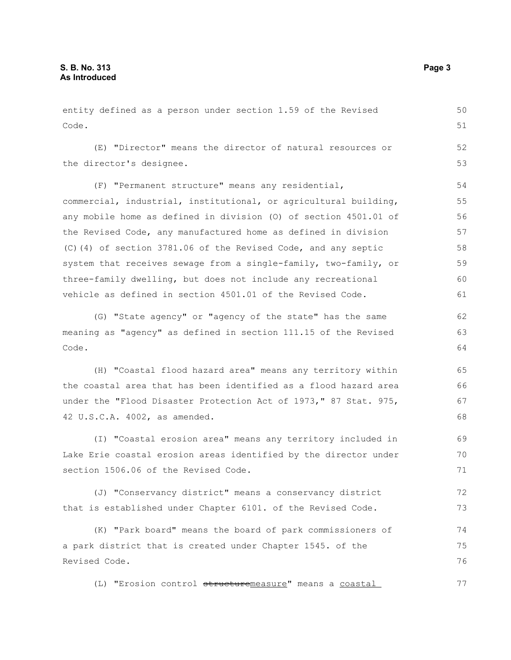entity defined as a person under section 1.59 of the Revised Code. (E) "Director" means the director of natural resources or the director's designee. (F) "Permanent structure" means any residential, commercial, industrial, institutional, or agricultural building, any mobile home as defined in division (O) of section 4501.01 of the Revised Code, any manufactured home as defined in division (C)(4) of section 3781.06 of the Revised Code, and any septic system that receives sewage from a single-family, two-family, or three-family dwelling, but does not include any recreational vehicle as defined in section 4501.01 of the Revised Code. (G) "State agency" or "agency of the state" has the same 50 51 52 53 54 55 56 57 58 59 60 61 62

meaning as "agency" as defined in section 111.15 of the Revised Code.

(H) "Coastal flood hazard area" means any territory within the coastal area that has been identified as a flood hazard area under the "Flood Disaster Protection Act of 1973," 87 Stat. 975, 42 U.S.C.A. 4002, as amended.

(I) "Coastal erosion area" means any territory included in Lake Erie coastal erosion areas identified by the director under section 1506.06 of the Revised Code. 69 70 71

(J) "Conservancy district" means a conservancy district that is established under Chapter 6101. of the Revised Code. 72 73

(K) "Park board" means the board of park commissioners of a park district that is created under Chapter 1545. of the Revised Code. 74 75 76

(L) "Erosion control structuremeasure" means a coastal 77

63 64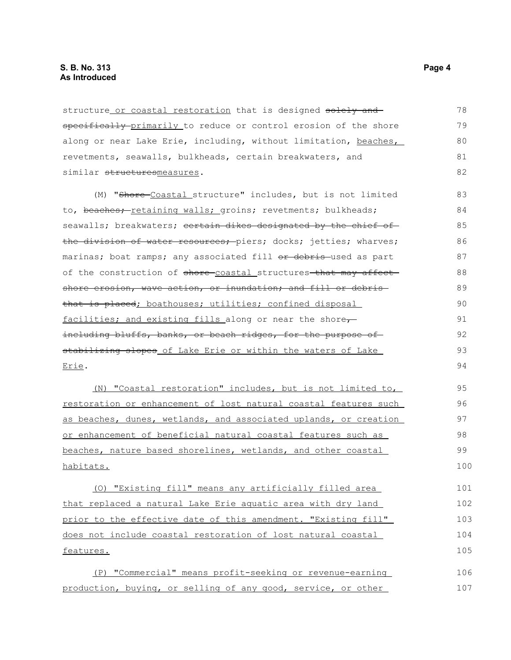structure or coastal restoration that is designed solely and specifically primarily to reduce or control erosion of the shore along or near Lake Erie, including, without limitation, beaches, revetments, seawalls, bulkheads, certain breakwaters, and similar structuresmeasures. 78 79 80 81 82

(M) "Shore Coastal structure" includes, but is not limited to, beaches; retaining walls; groins; revetments; bulkheads; seawalls; breakwaters; certain dikes designated by the chief of the division of water resources; piers; docks; jetties; wharves; marinas; boat ramps; any associated fill or debris used as part of the construction of shore-coastal structures-that may affectshore erosion, wave action, or inundation, and fill or debristhat is placed; boathouses; utilities; confined disposal facilities; and existing fills along or near the shore $\tau$ including bluffs, banks, or beach ridges, for the purpose of stabilizing slopes of Lake Erie or within the waters of Lake Erie. 83 84 85  $86$ 87 88 89 90 91 92 93 94

(N) "Coastal restoration" includes, but is not limited to, restoration or enhancement of lost natural coastal features such as beaches, dunes, wetlands, and associated uplands, or creation or enhancement of beneficial natural coastal features such as beaches, nature based shorelines, wetlands, and other coastal habitats.

(O) "Existing fill" means any artificially filled area that replaced a natural Lake Erie aquatic area with dry land prior to the effective date of this amendment. "Existing fill" does not include coastal restoration of lost natural coastal features. 101 102 103 104 105

(P) "Commercial" means profit-seeking or revenue-earning production, buying, or selling of any good, service, or other 106 107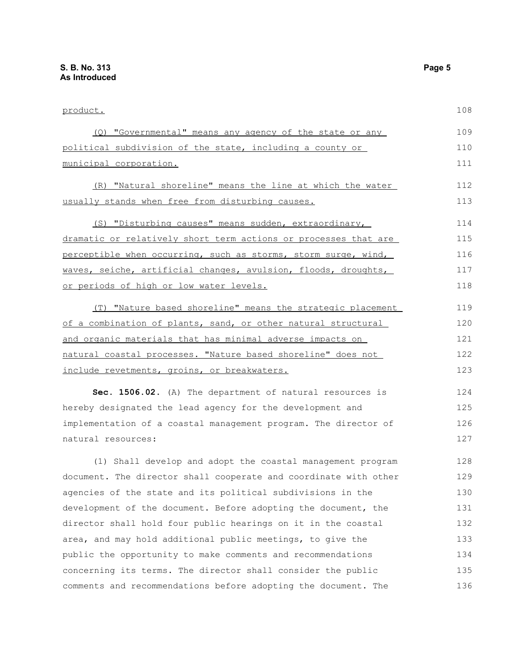| product.                                                                                                                  | 108        |
|---------------------------------------------------------------------------------------------------------------------------|------------|
| (Q) "Governmental" means any agency of the state or any                                                                   | 109        |
| political subdivision of the state, including a county or                                                                 | 110        |
| municipal corporation.                                                                                                    | 111        |
|                                                                                                                           |            |
| (R) "Natural shoreline" means the line at which the water                                                                 | 112        |
| usually stands when free from disturbing causes.                                                                          | 113        |
| (S) "Disturbing causes" means sudden, extraordinary,                                                                      | 114        |
| dramatic or relatively short term actions or processes that are                                                           | 115        |
| perceptible when occurring, such as storms, storm surge, wind,                                                            | 116        |
| waves, seiche, artificial changes, avulsion, floods, droughts,                                                            | 117        |
| or periods of high or low water levels.                                                                                   | 118        |
| (T) "Nature based shoreline" means the strategic placement                                                                | 119        |
| of a combination of plants, sand, or other natural structural                                                             | 120        |
| and organic materials that has minimal adverse impacts on                                                                 | 121        |
| natural coastal processes. "Nature based shoreline" does not                                                              | 122        |
|                                                                                                                           | 123        |
| include revetments, groins, or breakwaters.                                                                               |            |
| Sec. 1506.02. (A) The department of natural resources is                                                                  | 124        |
| hereby designated the lead agency for the development and                                                                 | 125        |
| implementation of a coastal management program. The director of                                                           | 126        |
| natural resources:                                                                                                        | 127        |
| (1) Shall develop and adopt the coastal management program                                                                | 128        |
| document. The director shall cooperate and coordinate with other                                                          | 129        |
| agencies of the state and its political subdivisions in the                                                               | 130        |
| development of the document. Before adopting the document, the                                                            | 131        |
| director shall hold four public hearings on it in the coastal                                                             | 132        |
|                                                                                                                           |            |
| area, and may hold additional public meetings, to give the<br>public the opportunity to make comments and recommendations | 133<br>134 |
|                                                                                                                           |            |
| concerning its terms. The director shall consider the public                                                              | 135        |
| comments and recommendations before adopting the document. The                                                            | 136        |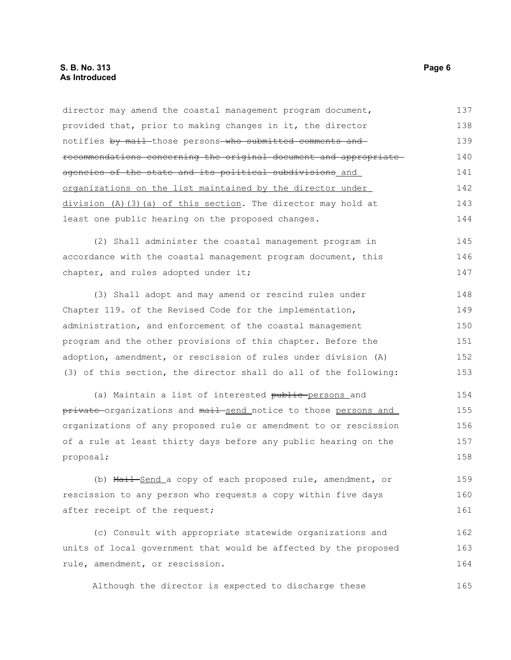#### **S. B. No. 313** Page 6 **As Introduced**

director may amend the coastal management program document, provided that, prior to making changes in it, the director notifies by mail those persons who submitted comments and recommendations concerning the original document and appropriate agencies of the state and its political subdivisions and organizations on the list maintained by the director under division (A)(3)(a) of this section. The director may hold at least one public hearing on the proposed changes. (2) Shall administer the coastal management program in accordance with the coastal management program document, this chapter, and rules adopted under it; (3) Shall adopt and may amend or rescind rules under Chapter 119. of the Revised Code for the implementation, administration, and enforcement of the coastal management program and the other provisions of this chapter. Before the adoption, amendment, or rescission of rules under division (A) (3) of this section, the director shall do all of the following: (a) Maintain a list of interested public-persons and private organizations and mail send notice to those persons and organizations of any proposed rule or amendment to or rescission of a rule at least thirty days before any public hearing on the proposal; (b) Mail-Send a copy of each proposed rule, amendment, or rescission to any person who requests a copy within five days after receipt of the request; (c) Consult with appropriate statewide organizations and units of local government that would be affected by the proposed rule, amendment, or rescission. Although the director is expected to discharge these 137 138 139 140 141 142 143 144 145 146 147 148 149 150 151 152 153 154 155 156 157 158 159 160 161 162 163 164 165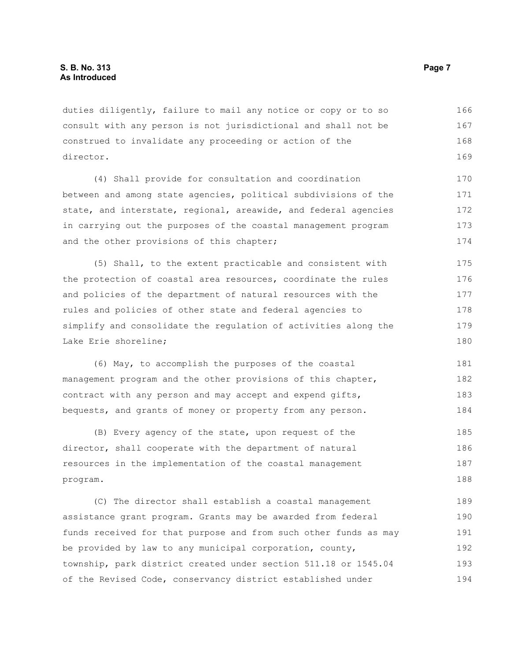duties diligently, failure to mail any notice or copy or to so consult with any person is not jurisdictional and shall not be construed to invalidate any proceeding or action of the director. 166 167 168 169

(4) Shall provide for consultation and coordination between and among state agencies, political subdivisions of the state, and interstate, regional, areawide, and federal agencies in carrying out the purposes of the coastal management program and the other provisions of this chapter; 170 171 172 173 174

(5) Shall, to the extent practicable and consistent with the protection of coastal area resources, coordinate the rules and policies of the department of natural resources with the rules and policies of other state and federal agencies to simplify and consolidate the regulation of activities along the Lake Erie shoreline; 175 176 177 178 179 180

(6) May, to accomplish the purposes of the coastal management program and the other provisions of this chapter, contract with any person and may accept and expend gifts, bequests, and grants of money or property from any person. 181 182 183 184

(B) Every agency of the state, upon request of the director, shall cooperate with the department of natural resources in the implementation of the coastal management program. 185 186 187 188

(C) The director shall establish a coastal management assistance grant program. Grants may be awarded from federal funds received for that purpose and from such other funds as may be provided by law to any municipal corporation, county, township, park district created under section 511.18 or 1545.04 of the Revised Code, conservancy district established under 189 190 191 192 193 194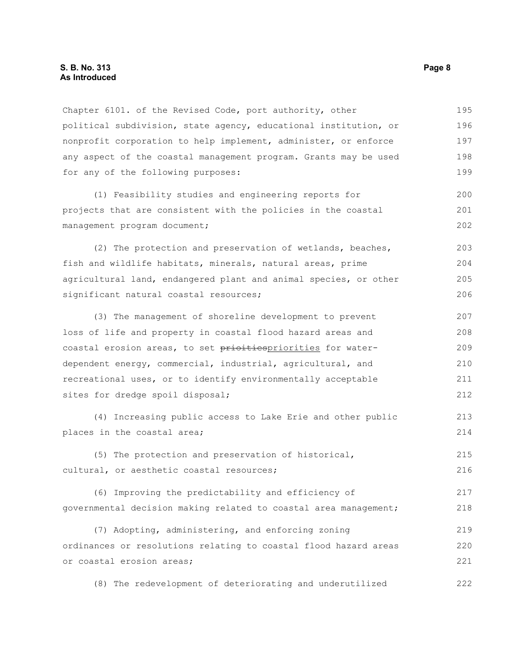#### **S. B. No. 313** Page 8 **As Introduced**

Chapter 6101. of the Revised Code, port authority, other political subdivision, state agency, educational institution, or nonprofit corporation to help implement, administer, or enforce any aspect of the coastal management program. Grants may be used for any of the following purposes: 195 196 197 198 199

(1) Feasibility studies and engineering reports for projects that are consistent with the policies in the coastal management program document; 200 201 202

(2) The protection and preservation of wetlands, beaches, fish and wildlife habitats, minerals, natural areas, prime agricultural land, endangered plant and animal species, or other significant natural coastal resources; 203 204 205 206

(3) The management of shoreline development to prevent loss of life and property in coastal flood hazard areas and coastal erosion areas, to set prioitiespriorities for waterdependent energy, commercial, industrial, agricultural, and recreational uses, or to identify environmentally acceptable sites for dredge spoil disposal; 207 208 209 210 211 212

(4) Increasing public access to Lake Erie and other public places in the coastal area;

(5) The protection and preservation of historical, cultural, or aesthetic coastal resources; 215 216

(6) Improving the predictability and efficiency of governmental decision making related to coastal area management; 217 218

(7) Adopting, administering, and enforcing zoning ordinances or resolutions relating to coastal flood hazard areas or coastal erosion areas; 219 220 221

(8) The redevelopment of deteriorating and underutilized 222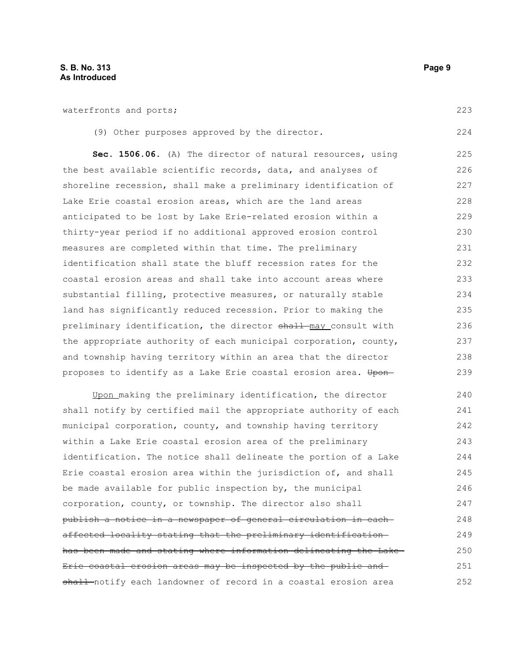waterfronts and ports;

|  | (9) Other purposes approved by the director. |  |  |  |  |  |  |
|--|----------------------------------------------|--|--|--|--|--|--|
|--|----------------------------------------------|--|--|--|--|--|--|

**Sec. 1506.06.** (A) The director of natural resources, using the best available scientific records, data, and analyses of shoreline recession, shall make a preliminary identification of Lake Erie coastal erosion areas, which are the land areas anticipated to be lost by Lake Erie-related erosion within a thirty-year period if no additional approved erosion control measures are completed within that time. The preliminary identification shall state the bluff recession rates for the coastal erosion areas and shall take into account areas where substantial filling, protective measures, or naturally stable land has significantly reduced recession. Prior to making the preliminary identification, the director shall may consult with the appropriate authority of each municipal corporation, county, and township having territory within an area that the director proposes to identify as a Lake Erie coastal erosion area. Upon-225 226 227 228 229 230 231 232 233 234 235 236 237 238 239

Upon making the preliminary identification, the director shall notify by certified mail the appropriate authority of each municipal corporation, county, and township having territory within a Lake Erie coastal erosion area of the preliminary identification. The notice shall delineate the portion of a Lake Erie coastal erosion area within the jurisdiction of, and shall be made available for public inspection by, the municipal corporation, county, or township. The director also shall publish a notice in a newspaper of general circulation in each affected locality stating that the preliminary identification has been made and stating where information delineating the Lake Erie coastal erosion areas may be inspected by the public and shall notify each landowner of record in a coastal erosion area 240 241 242 243 244 245 246 247 248 249 250 251 252

223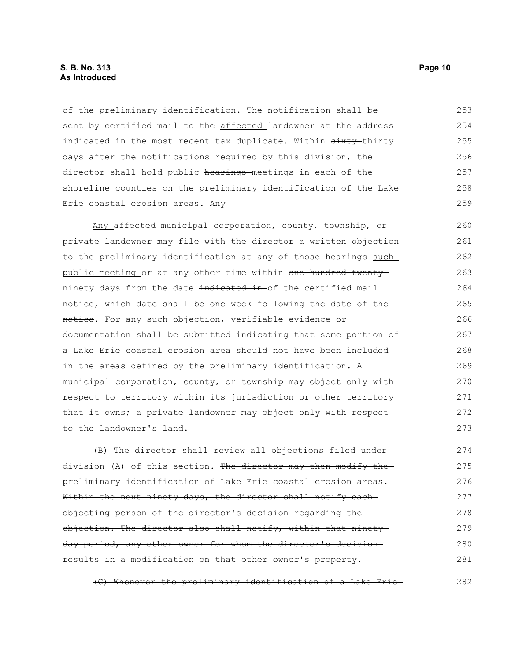#### **S. B. No. 313 Page 10 As Introduced**

of the preliminary identification. The notification shall be sent by certified mail to the affected landowner at the address indicated in the most recent tax duplicate. Within  $\frac{1}{1 + \frac{1}{1 + \frac{1}{1 + \frac{1}{1 + \frac{1}{1 + \frac{1}{1 + \frac{1}{1 + \frac{1}{1 + \frac{1}{1 + \frac{1}{1 + \frac{1}{1 + \frac{1}{1 + \frac{1}{1 + \frac{1}{1 + \frac{1}{1 + \frac{1}{1 + \frac{1}{1 + \frac{1}{1 + \frac{1}{1 + \frac{1}{1 + \frac{1}{1 + \frac{1}{1 + \frac{1}{1 + \frac{1}{1 + \frac$ days after the notifications required by this division, the director shall hold public hearings meetings in each of the shoreline counties on the preliminary identification of the Lake Erie coastal erosion areas. Any 253 254 255 256 257 258 259

Any affected municipal corporation, county, township, or private landowner may file with the director a written objection to the preliminary identification at any of those hearings such public meeting or at any other time within one hundred twentyninety days from the date indicated in of the certified mail notice, which date shall be one week following the date of thenotice. For any such objection, verifiable evidence or documentation shall be submitted indicating that some portion of a Lake Erie coastal erosion area should not have been included in the areas defined by the preliminary identification. A municipal corporation, county, or township may object only with respect to territory within its jurisdiction or other territory that it owns; a private landowner may object only with respect to the landowner's land. 260 261 262 263 264 265 266 267 268 269 270 271 272 273

(B) The director shall review all objections filed under division (A) of this section. The director may then modify thepreliminary identification of Lake Erie coastal erosion areas. Within the next ninety days, the director shall notify each objecting person of the director's decision regarding the objection. The director also shall notify, within that ninetyday period, any other owner for whom the director's decision results in a modification on that other owner's property. 274 275 276 277 278 279 280 281

(C) Whenever the preliminary identification of a Lake Erie 282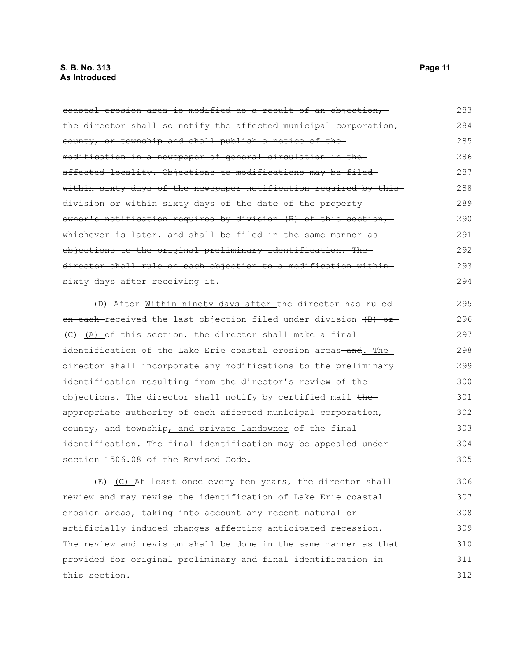#### **S. B. No. 313 Page 11 As Introduced**

coastal erosion area is modified as a result of an objection, the director shall so notify the affected municipal corporation, county, or township and shall publish a notice of the modification in a newspaper of general circulation in the affected locality. Objections to modifications may be filed within sixty days of the newspaper notification required by this division or within sixty days of the date of the property owner's notification required by division (B) of this section, whichever is later, and shall be filed in the same manner as objections to the original preliminary identification. The director shall rule on each objection to a modification within sixty days after receiving it. 283 284 285 286 287 288 289 290 291 292 293 294

(D) After Within ninety days after the director has ruled on each received the last objection filed under division (B) or  $\overline{(C) - (\underline{A})}$  of this section, the director shall make a final identification of the Lake Erie coastal erosion areas-and. The director shall incorporate any modifications to the preliminary identification resulting from the director's review of the objections. The director shall notify by certified mail the appropriate authority of each affected municipal corporation, county, and township, and private landowner of the final identification. The final identification may be appealed under section 1506.08 of the Revised Code. 295 296 297 298 299 300 301 302 303 304 305

 $(E)$  (C) At least once every ten years, the director shall review and may revise the identification of Lake Erie coastal erosion areas, taking into account any recent natural or artificially induced changes affecting anticipated recession. The review and revision shall be done in the same manner as that provided for original preliminary and final identification in this section. 306 307 308 309 310 311 312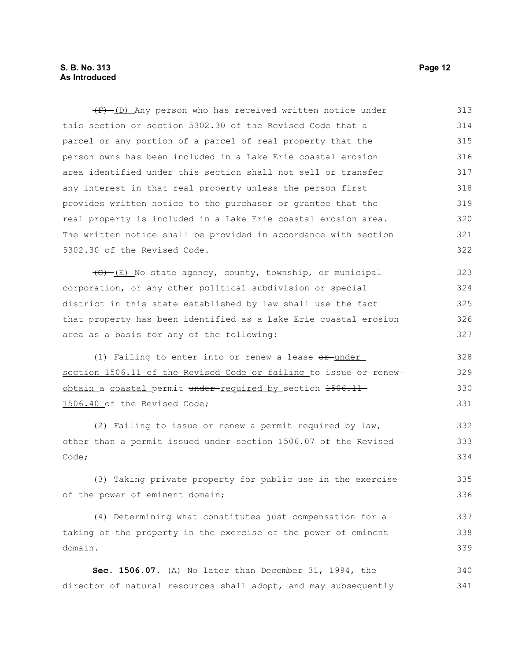#### **S. B. No. 313 Page 12 As Introduced**

 $(F)$  (D) Any person who has received written notice under this section or section 5302.30 of the Revised Code that a parcel or any portion of a parcel of real property that the person owns has been included in a Lake Erie coastal erosion area identified under this section shall not sell or transfer any interest in that real property unless the person first provides written notice to the purchaser or grantee that the real property is included in a Lake Erie coastal erosion area. The written notice shall be provided in accordance with section 5302.30 of the Revised Code. 313 314 315 316 317 318 319 320 321 322

 $\overline{(G) - (E)}$  No state agency, county, township, or municipal corporation, or any other political subdivision or special district in this state established by law shall use the fact that property has been identified as a Lake Erie coastal erosion area as a basis for any of the following: 323 324 325 326 327

(1) Failing to enter into or renew a lease  $or$ -under section 1506.11 of the Revised Code or failing to issue or renewobtain a coastal permit under-required by section 1506.11-1506.40 of the Revised Code;

(2) Failing to issue or renew a permit required by law, other than a permit issued under section 1506.07 of the Revised Code; 332 333 334

(3) Taking private property for public use in the exercise of the power of eminent domain;

(4) Determining what constitutes just compensation for a taking of the property in the exercise of the power of eminent domain. 337 338 339

**Sec. 1506.07.** (A) No later than December 31, 1994, the director of natural resources shall adopt, and may subsequently 340 341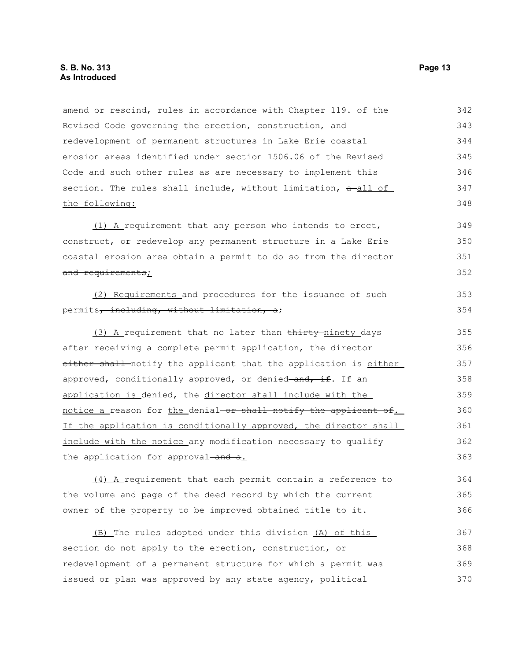amend or rescind, rules in accordance with Chapter 119. of the Revised Code governing the erection, construction, and redevelopment of permanent structures in Lake Erie coastal erosion areas identified under section 1506.06 of the Revised Code and such other rules as are necessary to implement this section. The rules shall include, without limitation,  $a$ -all of the following: (1) A requirement that any person who intends to erect, construct, or redevelop any permanent structure in a Lake Erie coastal erosion area obtain a permit to do so from the director and requirements; (2) Requirements and procedures for the issuance of such permits, including, without limitation, al (3) A requirement that no later than thirty-ninety days after receiving a complete permit application, the director either shall notify the applicant that the application is either approved, conditionally approved, or denied-and, if. If an application is denied, the director shall include with the notice a reason for the denial or shall notify the applicant of. If the application is conditionally approved, the director shall include with the notice any modification necessary to qualify the application for approval-and a. (4) A requirement that each permit contain a reference to the volume and page of the deed record by which the current owner of the property to be improved obtained title to it. (B) The rules adopted under this division (A) of this section do not apply to the erection, construction, or redevelopment of a permanent structure for which a permit was issued or plan was approved by any state agency, political 342 343 344 345 346 347 348 349 350 351 352 353 354 355 356 357 358 359 360 361 362 363 364 365 366 367 368 369 370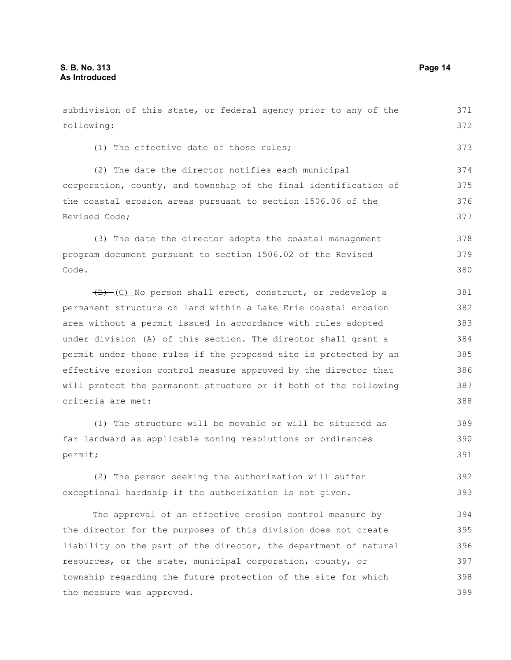following: (1) The effective date of those rules; (2) The date the director notifies each municipal corporation, county, and township of the final identification of the coastal erosion areas pursuant to section 1506.06 of the Revised Code; (3) The date the director adopts the coastal management program document pursuant to section 1506.02 of the Revised Code. (B) (C) No person shall erect, construct, or redevelop a permanent structure on land within a Lake Erie coastal erosion area without a permit issued in accordance with rules adopted under division (A) of this section. The director shall grant a permit under those rules if the proposed site is protected by an effective erosion control measure approved by the director that will protect the permanent structure or if both of the following criteria are met: (1) The structure will be movable or will be situated as far landward as applicable zoning resolutions or ordinances permit; (2) The person seeking the authorization will suffer exceptional hardship if the authorization is not given. The approval of an effective erosion control measure by the director for the purposes of this division does not create 372 373 374 375 376 377 378 379 380 381 382 383 384 385 386 387 388 389 390 391 392 393 394 395

subdivision of this state, or federal agency prior to any of the

liability on the part of the director, the department of natural resources, or the state, municipal corporation, county, or township regarding the future protection of the site for which the measure was approved. 396 397 398 399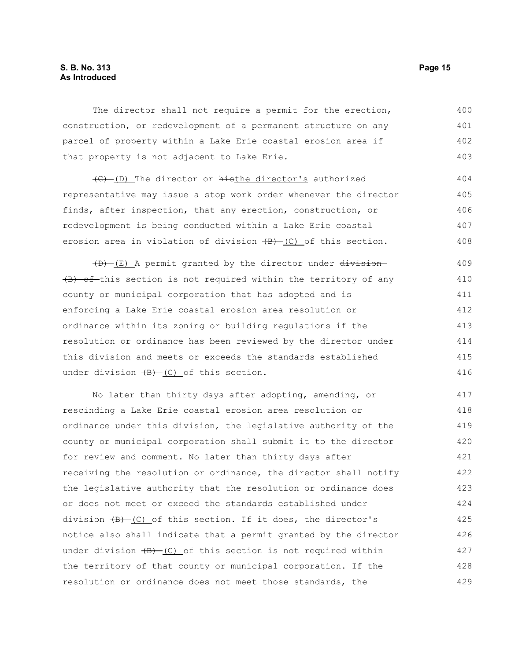#### **S. B. No. 313 Page 15 As Introduced**

The director shall not require a permit for the erection, construction, or redevelopment of a permanent structure on any parcel of property within a Lake Erie coastal erosion area if that property is not adjacent to Lake Erie. 400 401 402 403

(C) (D) The director or histhe director's authorized representative may issue a stop work order whenever the director finds, after inspection, that any erection, construction, or redevelopment is being conducted within a Lake Erie coastal erosion area in violation of division  $(B) - (C)$  of this section. 404 405 406 407 408

(D) (E) A permit granted by the director under division (B) of-this section is not required within the territory of any county or municipal corporation that has adopted and is enforcing a Lake Erie coastal erosion area resolution or ordinance within its zoning or building regulations if the resolution or ordinance has been reviewed by the director under this division and meets or exceeds the standards established under division  $\overline{(B) - (C)}$  of this section. 409 410 411 412 413 414 415 416

No later than thirty days after adopting, amending, or rescinding a Lake Erie coastal erosion area resolution or ordinance under this division, the legislative authority of the county or municipal corporation shall submit it to the director for review and comment. No later than thirty days after receiving the resolution or ordinance, the director shall notify the legislative authority that the resolution or ordinance does or does not meet or exceed the standards established under division  $\overline{(B)}$  (C) of this section. If it does, the director's notice also shall indicate that a permit granted by the director under division  $\overline{(B)}$  (C) of this section is not required within the territory of that county or municipal corporation. If the resolution or ordinance does not meet those standards, the 417 418 419 420 421 422 423 424 425 426 427 428 429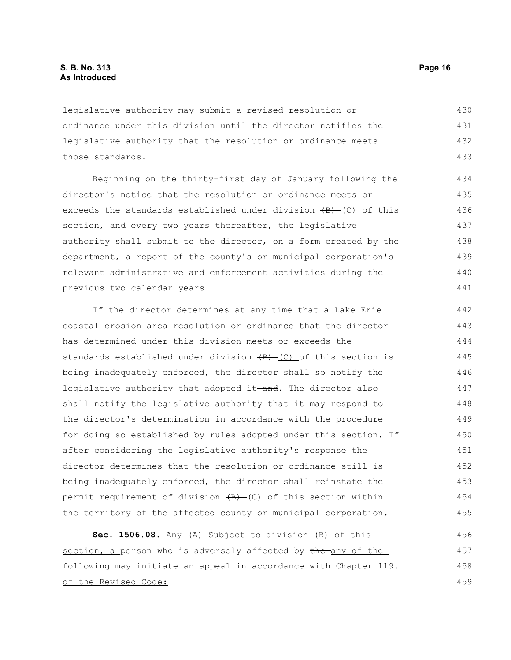legislative authority may submit a revised resolution or ordinance under this division until the director notifies the legislative authority that the resolution or ordinance meets those standards. 430 431 432 433

Beginning on the thirty-first day of January following the director's notice that the resolution or ordinance meets or exceeds the standards established under division  $\{B\}$  (C) of this section, and every two years thereafter, the legislative authority shall submit to the director, on a form created by the department, a report of the county's or municipal corporation's relevant administrative and enforcement activities during the previous two calendar years. 434 435 436 437 438 439 440 441

If the director determines at any time that a Lake Erie coastal erosion area resolution or ordinance that the director has determined under this division meets or exceeds the standards established under division  $\overline{(B) - (C)}$  of this section is being inadequately enforced, the director shall so notify the legislative authority that adopted it-and. The director also shall notify the legislative authority that it may respond to the director's determination in accordance with the procedure for doing so established by rules adopted under this section. If after considering the legislative authority's response the director determines that the resolution or ordinance still is being inadequately enforced, the director shall reinstate the permit requirement of division  $\overline{(B)}$  (C) of this section within the territory of the affected county or municipal corporation. 442 443 444 445 446 447 448 449 450 451 452 453 454 455

**Sec. 1506.08.** Any (A) Subject to division (B) of this section, a person who is adversely affected by the any of the following may initiate an appeal in accordance with Chapter 119. of the Revised Code: 456 457 458 459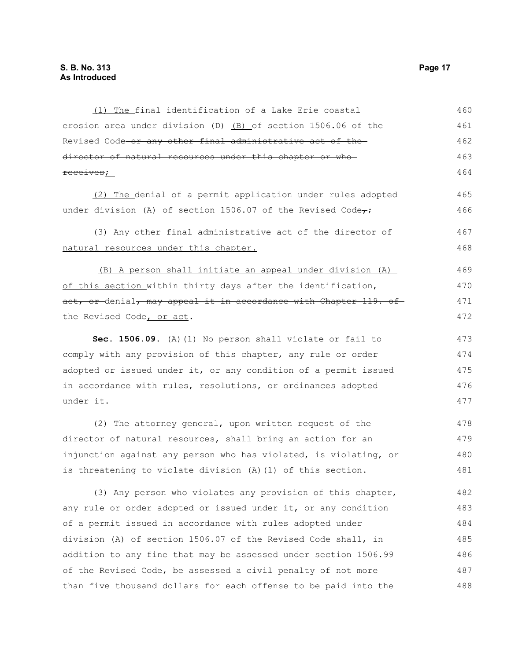erosion area under division  $(D)$  (B) of section 1506.06 of the Revised Code or any other final administrative act of the director of natural resources under this chapter or whoreceives; (2) The denial of a permit application under rules adopted under division (A) of section 1506.07 of the Revised Code $\tau_L$ (3) Any other final administrative act of the director of natural resources under this chapter. (B) A person shall initiate an appeal under division (A) of this section within thirty days after the identification, act, or denial, may appeal it in accordance with Chapter 119. of the Revised Code, or act. **Sec. 1506.09.** (A)(1) No person shall violate or fail to comply with any provision of this chapter, any rule or order adopted or issued under it, or any condition of a permit issued in accordance with rules, resolutions, or ordinances adopted under it. (2) The attorney general, upon written request of the director of natural resources, shall bring an action for an injunction against any person who has violated, is violating, or is threatening to violate division (A)(1) of this section. (3) Any person who violates any provision of this chapter, any rule or order adopted or issued under it, or any condition of a permit issued in accordance with rules adopted under division (A) of section 1506.07 of the Revised Code shall, in addition to any fine that may be assessed under section 1506.99 of the Revised Code, be assessed a civil penalty of not more 461 462 463 464 465 466 467 468 469 470 471 472 473 474 475 476 477 478 479 480 481 482 483 484 485 486 487

than five thousand dollars for each offense to be paid into the

(1) The final identification of a Lake Erie coastal

460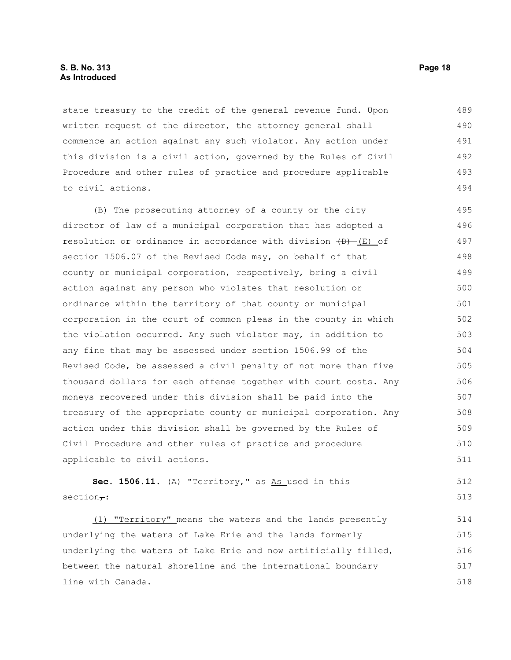#### **S. B. No. 313 Page 18 As Introduced**

state treasury to the credit of the general revenue fund. Upon written request of the director, the attorney general shall commence an action against any such violator. Any action under this division is a civil action, governed by the Rules of Civil Procedure and other rules of practice and procedure applicable to civil actions. 489 490 491 492 493 494

(B) The prosecuting attorney of a county or the city director of law of a municipal corporation that has adopted a resolution or ordinance in accordance with division  $(D)$  (E) of section 1506.07 of the Revised Code may, on behalf of that county or municipal corporation, respectively, bring a civil action against any person who violates that resolution or ordinance within the territory of that county or municipal corporation in the court of common pleas in the county in which the violation occurred. Any such violator may, in addition to any fine that may be assessed under section 1506.99 of the Revised Code, be assessed a civil penalty of not more than five thousand dollars for each offense together with court costs. Any moneys recovered under this division shall be paid into the treasury of the appropriate county or municipal corporation. Any action under this division shall be governed by the Rules of Civil Procedure and other rules of practice and procedure applicable to civil actions. 495 496 497 498 499 500 501 502 503 504 505 506 507 508 509 510 511

Sec. 1506.11. (A) "Territory," as As used in this  $section<sub>7</sub>:$ 512 513

(1) "Territory" means the waters and the lands presently underlying the waters of Lake Erie and the lands formerly underlying the waters of Lake Erie and now artificially filled, between the natural shoreline and the international boundary line with Canada. 514 515 516 517 518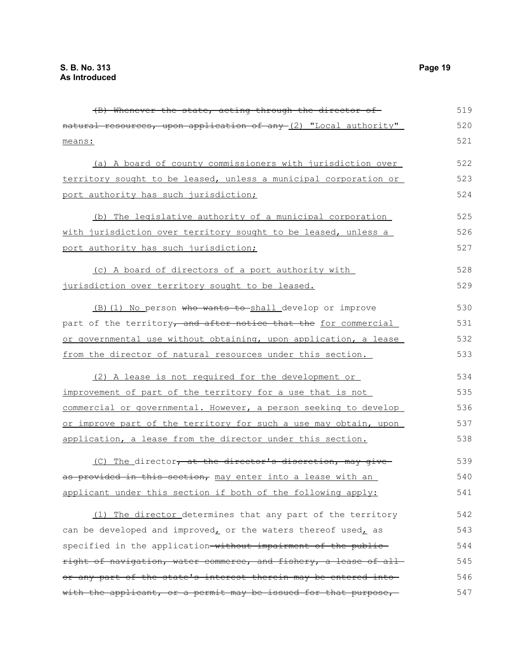| natural resources, upon application of any (2) "Local authority" | 520 |
|------------------------------------------------------------------|-----|
| means:                                                           | 521 |
| (a) A board of county commissioners with jurisdiction over       | 522 |
| territory sought to be leased, unless a municipal corporation or | 523 |
| port authority has such jurisdiction;                            | 524 |
| (b) The legislative authority of a municipal corporation         | 525 |
| with jurisdiction over territory sought to be leased, unless a   | 526 |
| port authority has such jurisdiction;                            | 527 |
| (c) A board of directors of a port authority with                | 528 |
| jurisdiction over territory sought to be leased.                 | 529 |
| (B) (1) No person who wants to shall develop or improve          | 530 |
| part of the territory, and after notice that the for commercial  | 531 |
| or governmental use without obtaining, upon application, a lease | 532 |
| from the director of natural resources under this section.       | 533 |
| (2) A lease is not required for the development or               | 534 |
| improvement of part of the territory for a use that is not       | 535 |
| commercial or governmental. However, a person seeking to develop | 536 |
| or improve part of the territory for such a use may obtain, upon | 537 |
| application, a lease from the director under this section.       | 538 |
| (C) The director, at the director's discretion, may give         | 539 |
| as provided in this section, may enter into a lease with an      | 540 |
| applicant under this section if both of the following apply:     | 541 |
| (1) The director determines that any part of the territory       | 542 |
| can be developed and improved, or the waters thereof used, as    | 543 |
| specified in the application-without impairment of the public-   | 544 |
| right of navigation, water commerce, and fishery, a lease of all | 545 |
| or any part of the state's interest therein may be entered into- | 546 |
| with the applicant, or a permit may be issued for that purpose,  | 547 |

(B) Whenever the state, acting through the director of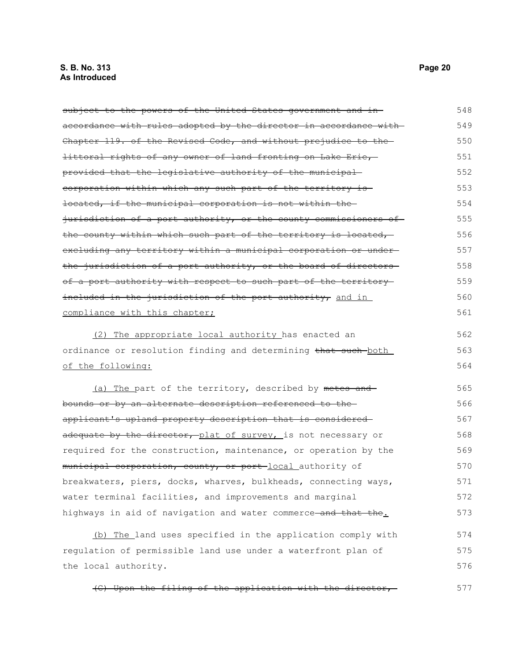subject to the powers of the United States government and inaccordance with rules adopted by the director in accordance with Chapter 119. of the Revised Code, and without prejudice to the littoral rights of any owner of land fronting on Lake Erie, provided that the legislative authority of the municipal corporation within which any such part of the territory is located, if the municipal corporation is not within the jurisdiction of a port authority, or the county commissioners of the county within which such part of the territory is located, excluding any territory within a municipal corporation or under the jurisdiction of a port authority, or the board of directors of a port authority with respect to such part of the territoryincluded in the jurisdiction of the port authority, and in compliance with this chapter; (2) The appropriate local authority has enacted an ordinance or resolution finding and determining that such both of the following: (a) The part of the territory, described by metes and bounds or by an alternate description referenced to the applicant's upland property description that is considered adequate by the director, plat of survey, is not necessary or required for the construction, maintenance, or operation by the municipal corporation, county, or port local authority of breakwaters, piers, docks, wharves, bulkheads, connecting ways, water terminal facilities, and improvements and marginal highways in aid of navigation and water commerce and that the. 548 549 550 551 552 553 554 555 556 557 558 559 560 561 562 563 564 565 566 567 568 569 570 571 572 573

(b) The land uses specified in the application comply with regulation of permissible land use under a waterfront plan of the local authority. 574 575 576

(C) Upon the filing of the application with the director, 577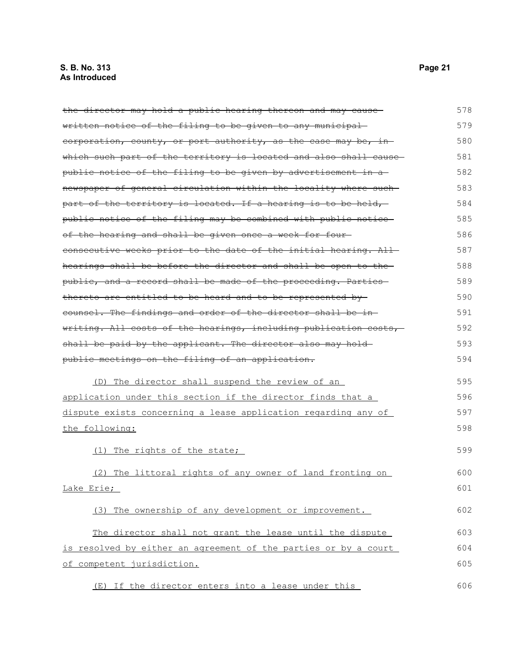the director may hold a public hearing thereon and may cause written notice of the filing to be given to any municipal corporation, county, or port authority, as the case may be, in which such part of the territory is located and also shall causepublic notice of the filing to be given by advertisement in a newspaper of general circulation within the locality where such part of the territory is located. If a hearing is to be held, public notice of the filing may be combined with public notice of the hearing and shall be given once a week for four consecutive weeks prior to the date of the initial hearing. All hearings shall be before the director and shall be open to the public, and a record shall be made of the proceeding. Parties thereto are entitled to be heard and to be represented by counsel. The findings and order of the director shall be in writing. All costs of the hearings, including publication costs, shall be paid by the applicant. The director also may holdpublic meetings on the filing of an application. (D) The director shall suspend the review of an application under this section if the director finds that a dispute exists concerning a lease application regarding any of the following: (1) The rights of the state; (2) The littoral rights of any owner of land fronting on Lake Erie; (3) The ownership of any development or improvement. The director shall not grant the lease until the dispute is resolved by either an agreement of the parties or by a court of competent jurisdiction. 578 579 580 581 582 583 584 585 586 587 588 589 590 591 592 593 594 595 596 597 598 599 600 601 602 603 604 605

(E) If the director enters into a lease under this 606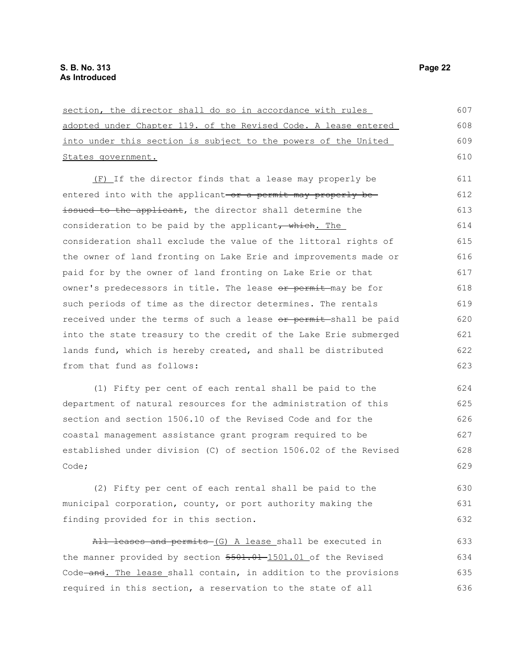| section, the director shall do so in accordance with rules       | 607 |
|------------------------------------------------------------------|-----|
| adopted under Chapter 119. of the Revised Code. A lease entered  | 608 |
| into under this section is subject to the powers of the United   | 609 |
| States government.                                               | 610 |
| (F) If the director finds that a lease may properly be           | 611 |
| entered into with the applicant-or a permit may properly be-     | 612 |
| issued to the applicant, the director shall determine the        | 613 |
| consideration to be paid by the applicant, which. The            | 614 |
| consideration shall exclude the value of the littoral rights of  | 615 |
| the owner of land fronting on Lake Erie and improvements made or | 616 |
| paid for by the owner of land fronting on Lake Erie or that      | 617 |
| owner's predecessors in title. The lease or permit-may be for    | 618 |
| such periods of time as the director determines. The rentals     | 619 |
| received under the terms of such a lease or permit-shall be paid | 620 |
| into the state treasury to the credit of the Lake Erie submerged | 621 |
| lands fund, which is hereby created, and shall be distributed    | 622 |
| from that fund as follows:                                       | 623 |
| (1) Fifty per cent of each rental shall be paid to the           | 624 |
| department of natural resources for the administration of this   | 625 |
| section and section 1506.10 of the Revised Code and for the      | 626 |
| coastal management assistance grant program required to be       | 627 |
| established under division (C) of section 1506.02 of the Revised | 628 |
| Code;                                                            | 629 |
| (2) Fifty per cent of each rental shall be paid to the           | 630 |
| municipal corporation, county, or port authority making the      | 631 |
| finding provided for in this section.                            | 632 |
| All leases and permits (G) A lease shall be executed in          | 633 |
| the manner provided by section 5501.01 011 of the Revised        | 634 |
| Code and. The lease shall contain, in addition to the provisions | 635 |
| required in this section, a reservation to the state of all      | 636 |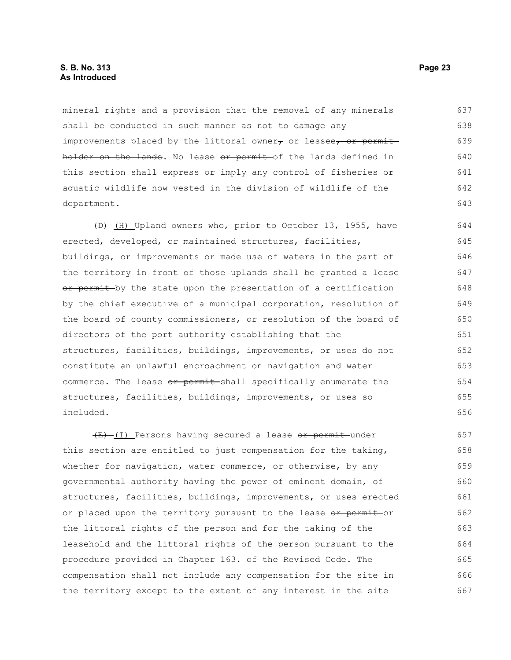#### **S. B. No. 313 Page 23 As Introduced**

mineral rights and a provision that the removal of any minerals shall be conducted in such manner as not to damage any improvements placed by the littoral owner $\tau$  or lessee, or permitholder on the lands. No lease or permit of the lands defined in this section shall express or imply any control of fisheries or aquatic wildlife now vested in the division of wildlife of the department. 637 638 639 640 641 642 643

 $(D)$  (H) Upland owners who, prior to October 13, 1955, have erected, developed, or maintained structures, facilities, buildings, or improvements or made use of waters in the part of the territory in front of those uplands shall be granted a lease or permit by the state upon the presentation of a certification by the chief executive of a municipal corporation, resolution of the board of county commissioners, or resolution of the board of directors of the port authority establishing that the structures, facilities, buildings, improvements, or uses do not constitute an unlawful encroachment on navigation and water commerce. The lease or permit shall specifically enumerate the structures, facilities, buildings, improvements, or uses so included. 644 645 646 647 648 649 650 651 652 653 654 655 656

(E) (I) Persons having secured a lease or permit under this section are entitled to just compensation for the taking, whether for navigation, water commerce, or otherwise, by any governmental authority having the power of eminent domain, of structures, facilities, buildings, improvements, or uses erected or placed upon the territory pursuant to the lease or permit or the littoral rights of the person and for the taking of the leasehold and the littoral rights of the person pursuant to the procedure provided in Chapter 163. of the Revised Code. The compensation shall not include any compensation for the site in the territory except to the extent of any interest in the site 657 658 659 660 661 662 663 664 665 666 667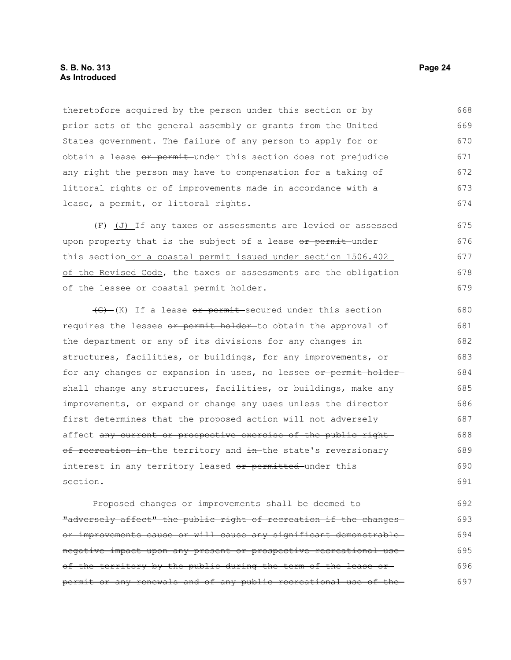#### **S. B. No. 313 Page 24 As Introduced**

theretofore acquired by the person under this section or by prior acts of the general assembly or grants from the United States government. The failure of any person to apply for or obtain a lease or permit under this section does not prejudice any right the person may have to compensation for a taking of littoral rights or of improvements made in accordance with a lease, a permit, or littoral rights. 668 669 670 671 672 673 674

 $(F)$  (J) If any taxes or assessments are levied or assessed upon property that is the subject of a lease or permit under this section or a coastal permit issued under section 1506.402 of the Revised Code, the taxes or assessments are the obligation of the lessee or coastal permit holder. 675 676 677 678 679

 $\frac{f(G) - f(K)}{F(G)}$  If a lease or permit secured under this section requires the lessee or permit holder-to obtain the approval of the department or any of its divisions for any changes in structures, facilities, or buildings, for any improvements, or for any changes or expansion in uses, no lessee or permit holdershall change any structures, facilities, or buildings, make any improvements, or expand or change any uses unless the director first determines that the proposed action will not adversely affect any current or prospective exercise of the public rightof recreation in-the territory and in-the state's reversionary interest in any territory leased or permitted under this section. 680 681 682 683 684 685 686 687 688 689 690 691

Proposed changes or improvements shall be deemed to "adversely affect" the public right of recreation if the changes or improvements cause or will cause any significant demonstrable negative impact upon any present or prospective recreational use of the territory by the public during the term of the lease orpermit or any renewals and of any public recreational use of the 692 693 694 695 696 697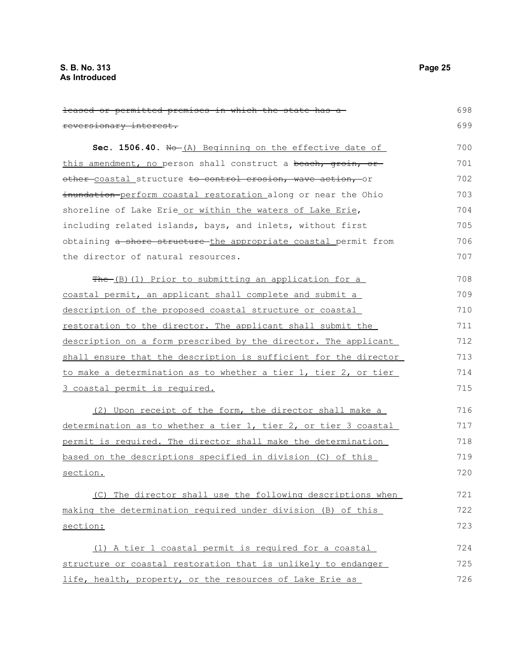| leased or permitted premises in which the state has a-           | 698 |
|------------------------------------------------------------------|-----|
| reversionary interest.                                           | 699 |
| Sec. 1506.40. Ho-(A) Beginning on the effective date of          | 700 |
| this amendment, no person shall construct a beach, groin, or     | 701 |
| other coastal structure to control erosion, wave action, or      | 702 |
| inundation perform coastal restoration along or near the Ohio    | 703 |
| shoreline of Lake Erie or within the waters of Lake Erie,        | 704 |
| including related islands, bays, and inlets, without first       | 705 |
| obtaining a shore structure the appropriate coastal permit from  | 706 |
| the director of natural resources.                               | 707 |
| The (B) (1) Prior to submitting an application for a             | 708 |
| coastal permit, an applicant shall complete and submit a         | 709 |
| description of the proposed coastal structure or coastal         | 710 |
| restoration to the director. The applicant shall submit the      | 711 |
| description on a form prescribed by the director. The applicant  | 712 |
| shall ensure that the description is sufficient for the director | 713 |
| to make a determination as to whether a tier 1, tier 2, or tier  | 714 |
| 3 coastal permit is required.                                    | 715 |
| (2) Upon receipt of the form, the director shall make a          | 716 |
| determination as to whether a tier 1, tier 2, or tier 3 coastal  | 717 |
| permit is required. The director shall make the determination    | 718 |
| based on the descriptions specified in division (C) of this      | 719 |
| section.                                                         | 720 |
| (C) The director shall use the following descriptions when       | 721 |
| making the determination required under division (B) of this     | 722 |
| section:                                                         | 723 |
| (1) A tier 1 coastal permit is required for a coastal            | 724 |
| structure or coastal restoration that is unlikely to endanger    | 725 |
| life, health, property, or the resources of Lake Erie as         | 726 |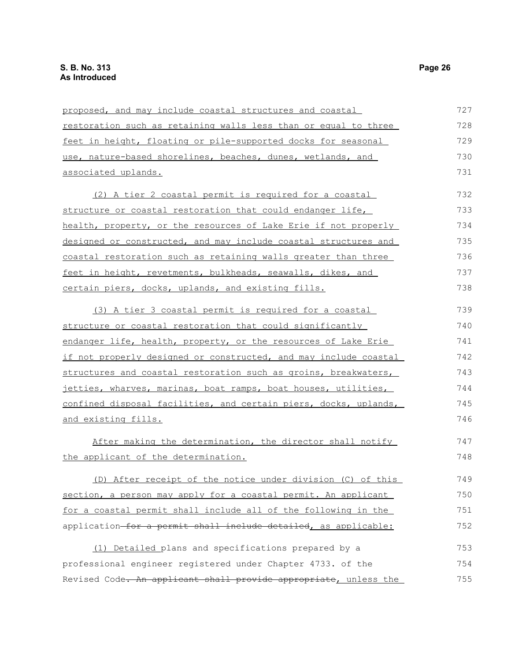| proposed, and may include coastal structures and coastal         | 727 |
|------------------------------------------------------------------|-----|
| restoration such as retaining walls less than or equal to three  | 728 |
| feet in height, floating or pile-supported docks for seasonal    | 729 |
| use, nature-based shorelines, beaches, dunes, wetlands, and      | 730 |
| <u>associated uplands.</u>                                       | 731 |
| (2) A tier 2 coastal permit is required for a coastal            | 732 |
| structure or coastal restoration that could endanger life,       | 733 |
| health, property, or the resources of Lake Erie if not properly  | 734 |
| designed or constructed, and may include coastal structures and  | 735 |
| coastal restoration such as retaining walls greater than three   | 736 |
| feet in height, revetments, bulkheads, seawalls, dikes, and      | 737 |
| certain piers, docks, uplands, and existing fills.               | 738 |
| (3) A tier 3 coastal permit is required for a coastal            | 739 |
| structure or coastal restoration that could significantly        | 740 |
| endanger life, health, property, or the resources of Lake Erie   | 741 |
| if not properly designed or constructed, and may include coastal | 742 |
| structures and coastal restoration such as groins, breakwaters,  | 743 |
| jetties, wharves, marinas, boat ramps, boat houses, utilities,   | 744 |
| confined disposal facilities, and certain piers, docks, uplands, | 745 |
| and existing fills.                                              | 746 |
| After making the determination, the director shall notify        | 747 |
| the applicant of the determination.                              | 748 |
| (D) After receipt of the notice under division (C) of this       | 749 |
| section, a person may apply for a coastal permit. An applicant   | 750 |
| for a coastal permit shall include all of the following in the   | 751 |
| application-for a permit shall include detailed, as applicable:  | 752 |
| (1) Detailed plans and specifications prepared by a              | 753 |
| professional engineer registered under Chapter 4733. of the      | 754 |
| Revised Code. An applicant shall provide appropriate, unless the | 755 |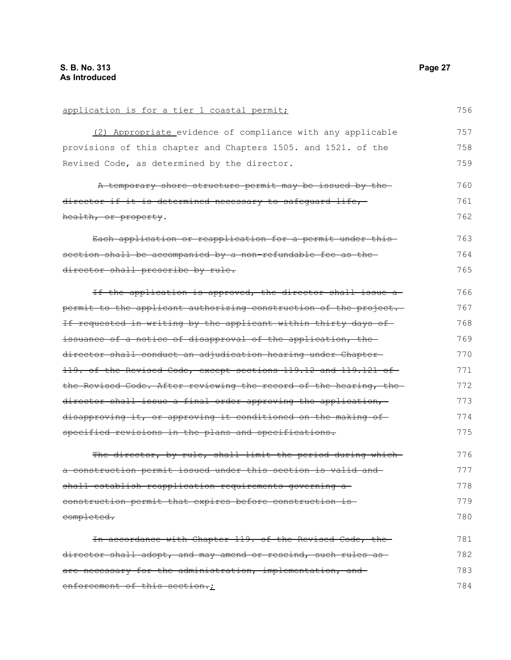| application is for a tier 1 coastal permit;                      | 756 |
|------------------------------------------------------------------|-----|
| (2) Appropriate evidence of compliance with any applicable       | 757 |
| provisions of this chapter and Chapters 1505. and 1521. of the   | 758 |
| Revised Code, as determined by the director.                     | 759 |
| A temporary shore structure permit may be issued by the-         | 760 |
| director if it is determined necessary to safequard life,        | 761 |
| health, or property.                                             | 762 |
| Each application or reapplication for a permit under this-       | 763 |
| section shall be accompanied by a non-refundable fee as the-     | 764 |
| director shall prescribe by rule.                                | 765 |
| If the application is approved, the director shall issue a-      | 766 |
| permit to the applicant authorizing construction of the project. | 767 |
| If requested in writing by the applicant within thirty days of   | 768 |
| issuance of a notice of disapproval of the application, the      | 769 |
| director shall conduct an adjudication hearing under Chapter     | 770 |
| 119. of the Revised Code, except sections 119.12 and 119.121 of  | 771 |
| the Revised Code. After reviewing the record of the hearing, the | 772 |
| director shall issue a final order approving the application,    | 773 |
| disapproving it, or approving it conditioned on the making of    | 774 |
| specified revisions in the plans and specifications.             | 775 |
| The director, by rule, shall limit the period during which-      | 776 |
| a construction permit issued under this section is valid and     | 777 |
| shall establish reapplication requirements governing a           | 778 |
| construction permit that expires before construction is-         | 779 |
| completed.                                                       | 780 |
| In accordance with Chapter 119. of the Revised Code, the         | 781 |
| director shall adopt, and may amend or rescind, such rules as    | 782 |
| are necessary for the administration, implementation, and-       | 783 |
| enforcement of this section.;                                    | 784 |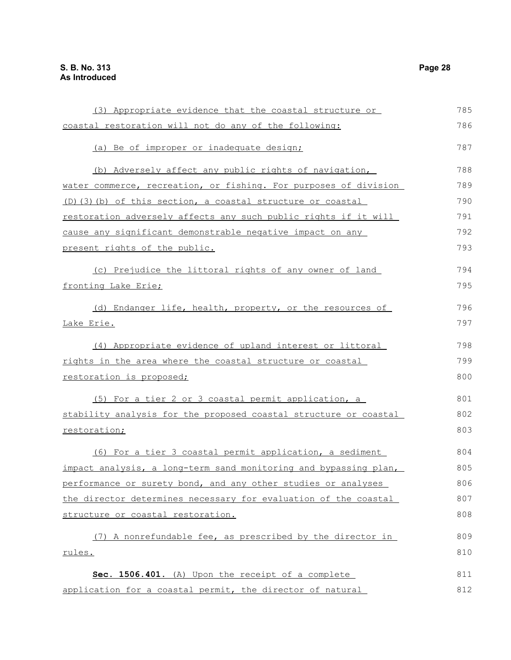| (3) Appropriate evidence that the coastal structure or           | 785 |
|------------------------------------------------------------------|-----|
| coastal restoration will not do any of the following:            | 786 |
|                                                                  |     |
| (a) Be of improper or inadequate design;                         | 787 |
| (b) Adversely affect any public rights of navigation,            | 788 |
| water commerce, recreation, or fishing. For purposes of division | 789 |
| $(D)$ (3) (b) of this section, a coastal structure or coastal    | 790 |
| restoration adversely affects any such public rights if it will  | 791 |
| cause any significant demonstrable negative impact on any        | 792 |
| present rights of the public.                                    | 793 |
| (c) Prejudice the littoral rights of any owner of land           | 794 |
| fronting Lake Erie;                                              | 795 |
|                                                                  |     |
| (d) Endanger life, health, property, or the resources of         | 796 |
| Lake Erie.                                                       | 797 |
| (4) Appropriate evidence of upland interest or littoral          | 798 |
| rights in the area where the coastal structure or coastal        | 799 |
| restoration is proposed;                                         | 800 |
|                                                                  |     |
| (5) For a tier 2 or 3 coastal permit application, a              | 801 |
| stability analysis for the proposed coastal structure or coastal | 802 |
| restoration;                                                     | 803 |
| (6) For a tier 3 coastal permit application, a sediment          | 804 |
| impact analysis, a long-term sand monitoring and bypassing plan, | 805 |
| performance or surety bond, and any other studies or analyses    | 806 |
| the director determines necessary for evaluation of the coastal  | 807 |
| structure or coastal restoration.                                | 808 |
| (7) A nonrefundable fee, as prescribed by the director in        | 809 |
| rules.                                                           | 810 |
|                                                                  |     |
| Sec. 1506.401. (A) Upon the receipt of a complete                | 811 |
| application for a coastal permit, the director of natural        | 812 |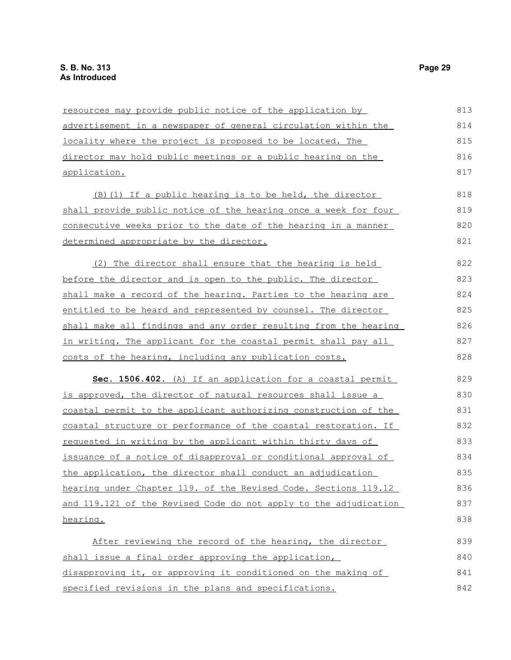| resources may provide public notice of the application by             | 813 |
|-----------------------------------------------------------------------|-----|
| advertisement in a newspaper of general circulation within the        | 814 |
| locality where the project is proposed to be located. The             | 815 |
| director may hold public meetings or a public hearing on the          | 816 |
| application.                                                          | 817 |
| (B) (1) If a public hearing is to be held, the director               | 818 |
| shall provide public notice of the hearing once a week for four       | 819 |
| <u>consecutive weeks prior to the date of the hearing in a manner</u> | 820 |
| determined appropriate by the director.                               | 821 |
| (2) The director shall ensure that the hearing is held                | 822 |
| before the director and is open to the public. The director           | 823 |
| shall make a record of the hearing. Parties to the hearing are        | 824 |
| entitled to be heard and represented by counsel. The director         | 825 |
| shall make all findings and any order resulting from the hearing      | 826 |
| in writing. The applicant for the coastal permit shall pay all        | 827 |
| costs of the hearing, including any publication costs.                | 828 |
| Sec. 1506.402. (A) If an application for a coastal permit             | 829 |
| is approved, the director of natural resources shall issue a          | 830 |
| coastal permit to the applicant authorizing construction of the       | 831 |
| coastal structure or performance of the coastal restoration. If       | 832 |
| requested in writing by the applicant within thirty days of           | 833 |
| issuance of a notice of disapproval or conditional approval of        | 834 |
| the application, the director shall conduct an adjudication           | 835 |
| hearing under Chapter 119. of the Revised Code. Sections 119.12       | 836 |
| and 119.121 of the Revised Code do not apply to the adjudication      | 837 |
| hearing.                                                              | 838 |
| After reviewing the record of the hearing, the director               | 839 |
| shall issue a final order approving the application,                  | 840 |
| disapproving it, or approving it conditioned on the making of         | 841 |
| specified revisions in the plans and specifications.                  | 842 |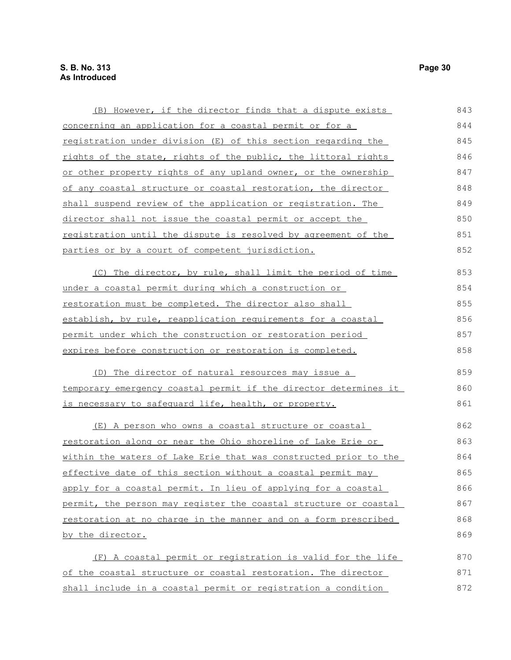| (B) However, if the director finds that a dispute exists              | 843 |
|-----------------------------------------------------------------------|-----|
| concerning an application for a coastal permit or for a               | 844 |
| registration under division (E) of this section regarding the         | 845 |
| rights of the state, rights of the public, the littoral rights        | 846 |
| or other property rights of any upland owner, or the ownership        | 847 |
| of any coastal structure or coastal restoration, the director         | 848 |
| <u>shall suspend review of the application or registration. The</u>   | 849 |
| director shall not issue the coastal permit or accept the             | 850 |
| <u>registration until the dispute is resolved by agreement of the</u> | 851 |
| parties or by a court of competent jurisdiction.                      | 852 |
| (C) The director, by rule, shall limit the period of time             | 853 |
| under a coastal permit during which a construction or                 | 854 |
| restoration must be completed. The director also shall                | 855 |
| establish, by rule, reapplication requirements for a coastal          | 856 |
| permit under which the construction or restoration period             | 857 |
| expires before construction or restoration is completed.              | 858 |
| (D) The director of natural resources may issue a                     | 859 |
| temporary emergency coastal permit if the director determines it      | 860 |
| is necessary to safequard life, health, or property.                  | 861 |
| (E) A person who owns a coastal structure or coastal                  | 862 |
| restoration along or near the Ohio shoreline of Lake Erie or          | 863 |
| within the waters of Lake Erie that was constructed prior to the      | 864 |
| effective date of this section without a coastal permit may           | 865 |
| apply for a coastal permit. In lieu of applying for a coastal         | 866 |
| permit, the person may register the coastal structure or coastal      | 867 |
| restoration at no charge in the manner and on a form prescribed       | 868 |
| by the director.                                                      | 869 |
| (F) A coastal permit or registration is valid for the life            | 870 |
| of the coastal structure or coastal restoration. The director         | 871 |
| shall include in a coastal permit or registration a condition         | 872 |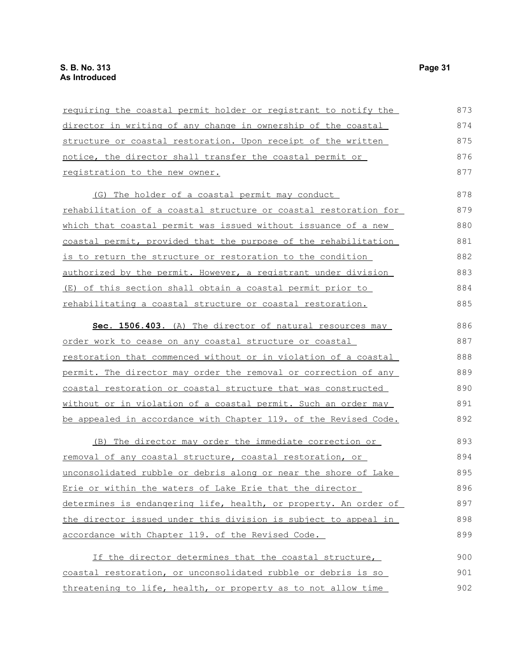| requiring the coastal permit holder or registrant to notify the        | 873 |
|------------------------------------------------------------------------|-----|
| director in writing of any change in ownership of the coastal          | 874 |
| structure or coastal restoration. Upon receipt of the written          | 875 |
| notice, the director shall transfer the coastal permit or              | 876 |
| registration to the new owner.                                         | 877 |
| (G) The holder of a coastal permit may conduct                         | 878 |
| rehabilitation of a coastal structure or coastal restoration for       | 879 |
| <u>which that coastal permit was issued without issuance of a new-</u> | 880 |
| coastal permit, provided that the purpose of the rehabilitation        | 881 |
| is to return the structure or restoration to the condition             | 882 |
| authorized by the permit. However, a registrant under division         | 883 |
| <u>(E) of this section shall obtain a coastal permit prior to</u>      | 884 |
| rehabilitating a coastal structure or coastal restoration.             | 885 |
| Sec. 1506.403. (A) The director of natural resources may               | 886 |
| order work to cease on any coastal structure or coastal                | 887 |
| <u>restoration that commenced without or in violation of a coastal</u> | 888 |
| permit. The director may order the removal or correction of any        | 889 |
| coastal restoration or coastal structure that was constructed          | 890 |
| without or in violation of a coastal permit. Such an order may         | 891 |
| be appealed in accordance with Chapter 119. of the Revised Code.       | 892 |
| (B) The director may order the immediate correction or                 | 893 |
| <u>removal of any coastal structure, coastal restoration, or</u>       | 894 |
| unconsolidated rubble or debris along or near the shore of Lake        | 895 |
| Erie or within the waters of Lake Erie that the director               | 896 |
| determines is endangering life, health, or property. An order of       | 897 |
| the director issued under this division is subject to appeal in        | 898 |
| accordance with Chapter 119. of the Revised Code.                      | 899 |
| If the director determines that the coastal structure,                 | 900 |
| coastal restoration, or unconsolidated rubble or debris is so          | 901 |
| threatening to life, health, or property as to not allow time          | 902 |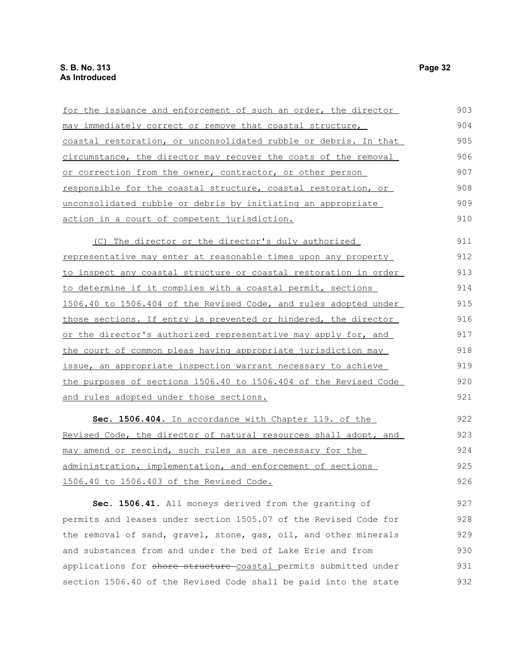| for the issuance and enforcement of such an order, the director          | 903 |
|--------------------------------------------------------------------------|-----|
| may immediately correct or remove that coastal structure,                | 904 |
| coastal restoration, or unconsolidated rubble or debris. In that         | 905 |
| circumstance, the director may recover the costs of the removal          | 906 |
| or correction from the owner, contractor, or other person                | 907 |
| responsible for the coastal structure, coastal restoration, or           | 908 |
| <u>unconsolidated rubble or debris by initiating an appropriate </u>     | 909 |
| action in a court of competent jurisdiction.                             | 910 |
| (C) The director or the director's duly authorized                       | 911 |
| representative may enter at reasonable times upon any property           | 912 |
| to inspect any coastal structure or coastal restoration in order         | 913 |
| to determine if it complies with a coastal permit, sections              | 914 |
| 1506.40 to 1506.404 of the Revised Code, and rules adopted under         | 915 |
| those sections. If entry is prevented or hindered, the director          | 916 |
| <u>or the director's authorized representative may apply for, and </u>   | 917 |
| the court of common pleas having appropriate jurisdiction may            | 918 |
| issue, an appropriate inspection warrant necessary to achieve            | 919 |
| the purposes of sections 1506.40 to 1506.404 of the Revised Code         | 920 |
| and rules adopted under those sections.                                  | 921 |
| Sec. 1506.404. In accordance with Chapter 119. of the                    | 922 |
| <u>Revised Code, the director of natural resources shall adopt, and </u> | 923 |
| <u>may amend or rescind, such rules as are necessary for the </u>        | 924 |
| administration, implementation, and enforcement of sections              | 925 |
| 1506.40 to 1506.403 of the Revised Code.                                 | 926 |
| Sec. 1506.41. All moneys derived from the granting of                    | 927 |
| permits and leases under section 1505.07 of the Revised Code for         | 928 |
| the removal of sand, gravel, stone, gas, oil, and other minerals         | 929 |

and substances from and under the bed of Lake Erie and from applications for shore structure-coastal permits submitted under section 1506.40 of the Revised Code shall be paid into the state 930 931 932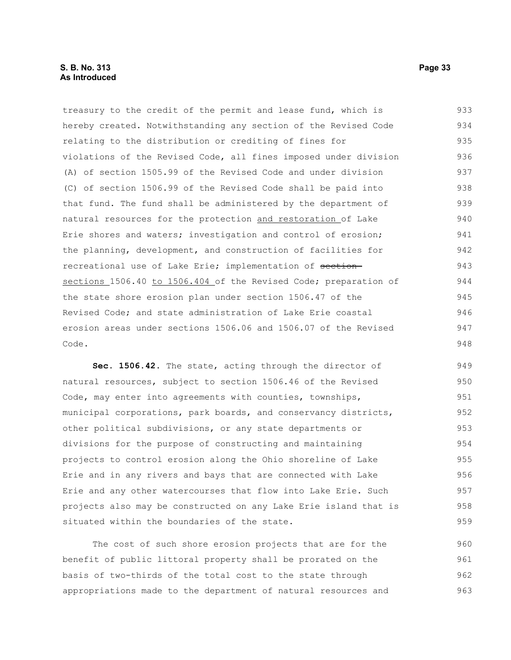treasury to the credit of the permit and lease fund, which is hereby created. Notwithstanding any section of the Revised Code relating to the distribution or crediting of fines for violations of the Revised Code, all fines imposed under division (A) of section 1505.99 of the Revised Code and under division (C) of section 1506.99 of the Revised Code shall be paid into that fund. The fund shall be administered by the department of natural resources for the protection and restoration of Lake Erie shores and waters; investigation and control of erosion; the planning, development, and construction of facilities for recreational use of Lake Erie; implementation of sectionsections 1506.40 to 1506.404 of the Revised Code; preparation of the state shore erosion plan under section 1506.47 of the Revised Code; and state administration of Lake Erie coastal erosion areas under sections 1506.06 and 1506.07 of the Revised Code. 933 934 935 936 937 938 939 940 941 942 943 944 945 946 947 948

Sec. 1506.42. The state, acting through the director of natural resources, subject to section 1506.46 of the Revised Code, may enter into agreements with counties, townships, municipal corporations, park boards, and conservancy districts, other political subdivisions, or any state departments or divisions for the purpose of constructing and maintaining projects to control erosion along the Ohio shoreline of Lake Erie and in any rivers and bays that are connected with Lake Erie and any other watercourses that flow into Lake Erie. Such projects also may be constructed on any Lake Erie island that is situated within the boundaries of the state. 949 950 951 952 953 954 955 956 957 958 959

The cost of such shore erosion projects that are for the benefit of public littoral property shall be prorated on the basis of two-thirds of the total cost to the state through appropriations made to the department of natural resources and 960 961 962 963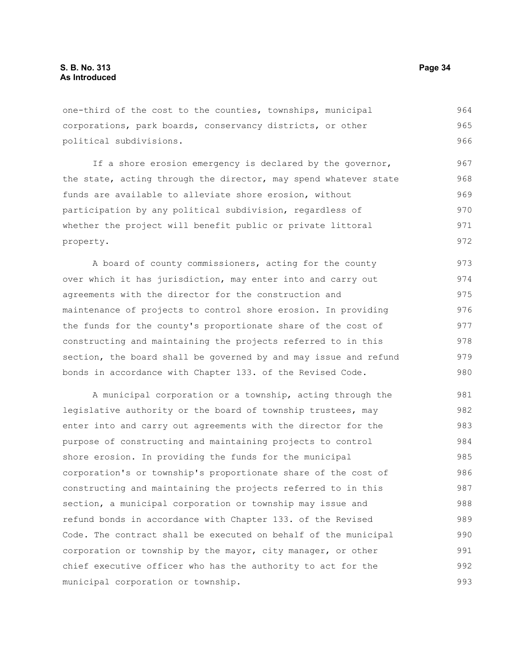one-third of the cost to the counties, townships, municipal corporations, park boards, conservancy districts, or other political subdivisions. 964 965 966

If a shore erosion emergency is declared by the governor, the state, acting through the director, may spend whatever state funds are available to alleviate shore erosion, without participation by any political subdivision, regardless of whether the project will benefit public or private littoral property. 967 968 969 970 971 972

A board of county commissioners, acting for the county over which it has jurisdiction, may enter into and carry out agreements with the director for the construction and maintenance of projects to control shore erosion. In providing the funds for the county's proportionate share of the cost of constructing and maintaining the projects referred to in this section, the board shall be governed by and may issue and refund bonds in accordance with Chapter 133. of the Revised Code. 973 974 975 976 977 978 979 980

A municipal corporation or a township, acting through the legislative authority or the board of township trustees, may enter into and carry out agreements with the director for the purpose of constructing and maintaining projects to control shore erosion. In providing the funds for the municipal corporation's or township's proportionate share of the cost of constructing and maintaining the projects referred to in this section, a municipal corporation or township may issue and refund bonds in accordance with Chapter 133. of the Revised Code. The contract shall be executed on behalf of the municipal corporation or township by the mayor, city manager, or other chief executive officer who has the authority to act for the municipal corporation or township. 981 982 983 984 985 986 987 988 989 990 991 992 993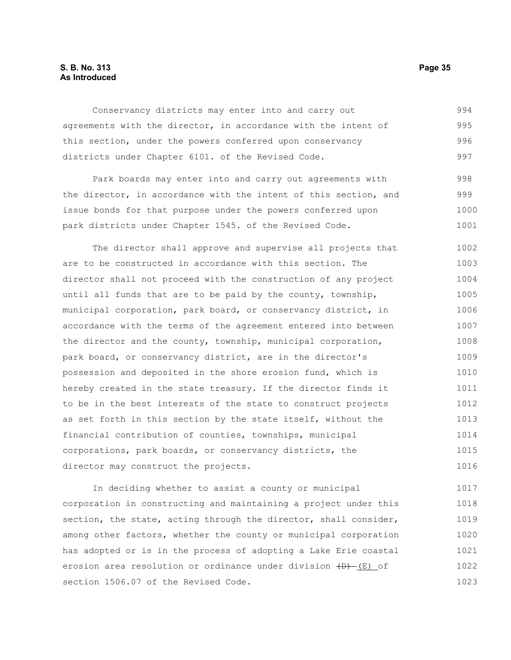#### **S. B. No. 313 Page 35 As Introduced**

Conservancy districts may enter into and carry out agreements with the director, in accordance with the intent of this section, under the powers conferred upon conservancy districts under Chapter 6101. of the Revised Code. 994 995 996 997

Park boards may enter into and carry out agreements with the director, in accordance with the intent of this section, and issue bonds for that purpose under the powers conferred upon park districts under Chapter 1545. of the Revised Code. 998 999 1000 1001

The director shall approve and supervise all projects that are to be constructed in accordance with this section. The director shall not proceed with the construction of any project until all funds that are to be paid by the county, township, municipal corporation, park board, or conservancy district, in accordance with the terms of the agreement entered into between the director and the county, township, municipal corporation, park board, or conservancy district, are in the director's possession and deposited in the shore erosion fund, which is hereby created in the state treasury. If the director finds it to be in the best interests of the state to construct projects as set forth in this section by the state itself, without the financial contribution of counties, townships, municipal corporations, park boards, or conservancy districts, the director may construct the projects. 1002 1003 1004 1005 1006 1007 1008 1009 1010 1011 1012 1013 1014 1015 1016

In deciding whether to assist a county or municipal corporation in constructing and maintaining a project under this section, the state, acting through the director, shall consider, among other factors, whether the county or municipal corporation has adopted or is in the process of adopting a Lake Erie coastal erosion area resolution or ordinance under division  $(D)$  (E) of section 1506.07 of the Revised Code. 1017 1018 1019 1020 1021 1022 1023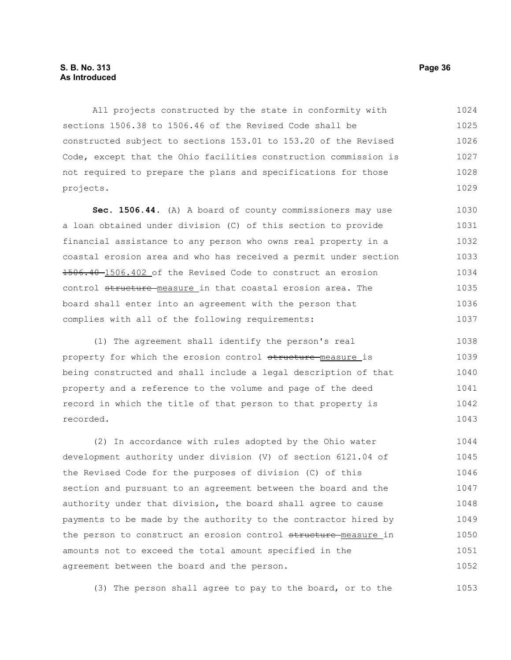#### **S. B. No. 313 Page 36 As Introduced**

All projects constructed by the state in conformity with sections 1506.38 to 1506.46 of the Revised Code shall be constructed subject to sections 153.01 to 153.20 of the Revised Code, except that the Ohio facilities construction commission is not required to prepare the plans and specifications for those projects. 1024 1025 1026 1027 1028 1029

**Sec. 1506.44.** (A) A board of county commissioners may use a loan obtained under division (C) of this section to provide financial assistance to any person who owns real property in a coastal erosion area and who has received a permit under section 1506.40 1506.402 of the Revised Code to construct an erosion control structure measure in that coastal erosion area. The board shall enter into an agreement with the person that complies with all of the following requirements: 1030 1031 1032 1033 1034 1035 1036 1037

(1) The agreement shall identify the person's real property for which the erosion control structure measure is being constructed and shall include a legal description of that property and a reference to the volume and page of the deed record in which the title of that person to that property is recorded. 1038 1039 1040 1041 1042 1043

(2) In accordance with rules adopted by the Ohio water development authority under division (V) of section 6121.04 of the Revised Code for the purposes of division (C) of this section and pursuant to an agreement between the board and the authority under that division, the board shall agree to cause payments to be made by the authority to the contractor hired by the person to construct an erosion control structure measure in amounts not to exceed the total amount specified in the agreement between the board and the person. 1044 1045 1046 1047 1048 1049 1050 1051 1052

(3) The person shall agree to pay to the board, or to the 1053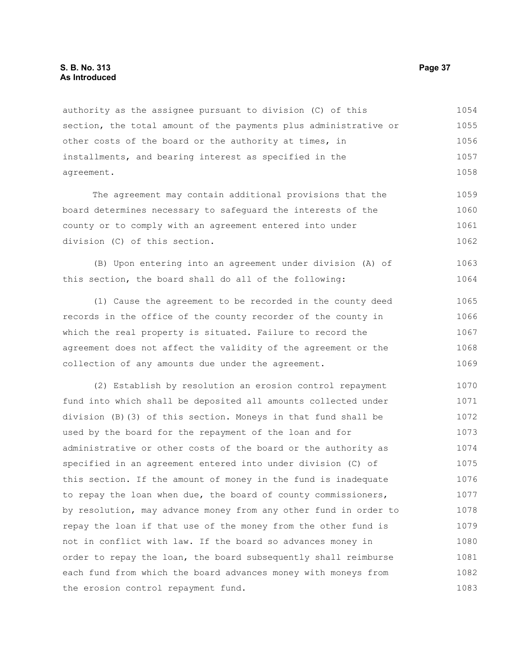#### **S. B. No. 313 Page 37 As Introduced**

authority as the assignee pursuant to division (C) of this section, the total amount of the payments plus administrative or other costs of the board or the authority at times, in installments, and bearing interest as specified in the agreement. 1054 1055 1056 1057 1058

The agreement may contain additional provisions that the board determines necessary to safeguard the interests of the county or to comply with an agreement entered into under division (C) of this section. 1059 1060 1061 1062

(B) Upon entering into an agreement under division (A) of this section, the board shall do all of the following: 1063 1064

(1) Cause the agreement to be recorded in the county deed records in the office of the county recorder of the county in which the real property is situated. Failure to record the agreement does not affect the validity of the agreement or the collection of any amounts due under the agreement. 1065 1066 1067 1068 1069

(2) Establish by resolution an erosion control repayment fund into which shall be deposited all amounts collected under division (B)(3) of this section. Moneys in that fund shall be used by the board for the repayment of the loan and for administrative or other costs of the board or the authority as specified in an agreement entered into under division (C) of this section. If the amount of money in the fund is inadequate to repay the loan when due, the board of county commissioners, by resolution, may advance money from any other fund in order to repay the loan if that use of the money from the other fund is not in conflict with law. If the board so advances money in order to repay the loan, the board subsequently shall reimburse each fund from which the board advances money with moneys from the erosion control repayment fund. 1070 1071 1072 1073 1074 1075 1076 1077 1078 1079 1080 1081 1082 1083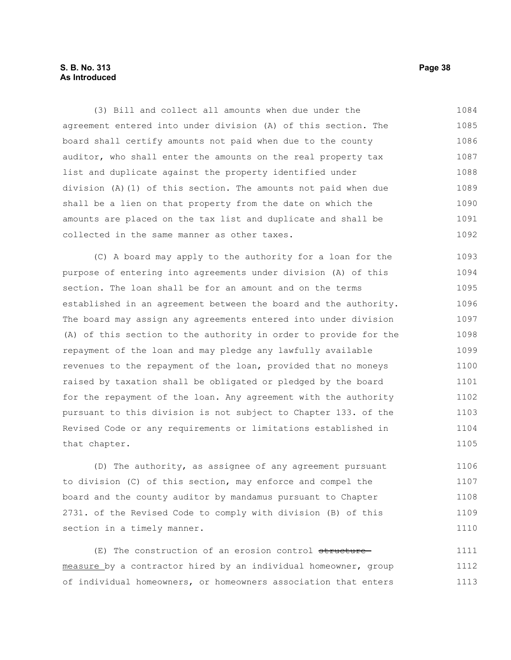#### **S. B. No. 313 Page 38 As Introduced**

(3) Bill and collect all amounts when due under the agreement entered into under division (A) of this section. The board shall certify amounts not paid when due to the county auditor, who shall enter the amounts on the real property tax list and duplicate against the property identified under division (A)(1) of this section. The amounts not paid when due shall be a lien on that property from the date on which the amounts are placed on the tax list and duplicate and shall be collected in the same manner as other taxes. 1084 1085 1086 1087 1088 1089 1090 1091 1092

(C) A board may apply to the authority for a loan for the purpose of entering into agreements under division (A) of this section. The loan shall be for an amount and on the terms established in an agreement between the board and the authority. The board may assign any agreements entered into under division (A) of this section to the authority in order to provide for the repayment of the loan and may pledge any lawfully available revenues to the repayment of the loan, provided that no moneys raised by taxation shall be obligated or pledged by the board for the repayment of the loan. Any agreement with the authority pursuant to this division is not subject to Chapter 133. of the Revised Code or any requirements or limitations established in that chapter. 1093 1094 1095 1096 1097 1098 1099 1100 1101 1102 1103 1104 1105

(D) The authority, as assignee of any agreement pursuant to division (C) of this section, may enforce and compel the board and the county auditor by mandamus pursuant to Chapter 2731. of the Revised Code to comply with division (B) of this section in a timely manner. 1106 1107 1108 1109 1110

(E) The construction of an erosion control structure measure by a contractor hired by an individual homeowner, group of individual homeowners, or homeowners association that enters 1111 1112 1113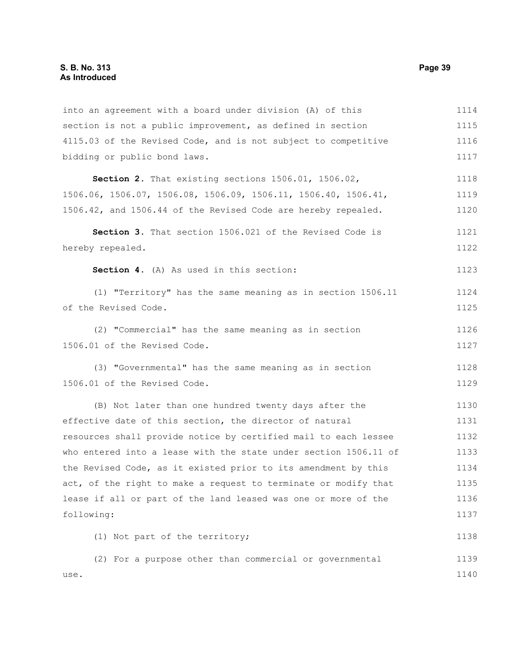use.

into an agreement with a board under division (A) of this section is not a public improvement, as defined in section 4115.03 of the Revised Code, and is not subject to competitive bidding or public bond laws. **Section 2.** That existing sections 1506.01, 1506.02, 1506.06, 1506.07, 1506.08, 1506.09, 1506.11, 1506.40, 1506.41, 1506.42, and 1506.44 of the Revised Code are hereby repealed. **Section 3.** That section 1506.021 of the Revised Code is hereby repealed. **Section 4.** (A) As used in this section: (1) "Territory" has the same meaning as in section 1506.11 of the Revised Code. (2) "Commercial" has the same meaning as in section 1506.01 of the Revised Code. (3) "Governmental" has the same meaning as in section 1506.01 of the Revised Code. (B) Not later than one hundred twenty days after the effective date of this section, the director of natural resources shall provide notice by certified mail to each lessee who entered into a lease with the state under section 1506.11 of the Revised Code, as it existed prior to its amendment by this act, of the right to make a request to terminate or modify that lease if all or part of the land leased was one or more of the following: (1) Not part of the territory; (2) For a purpose other than commercial or governmental 1114 1115 1116 1117 1118 1119 1120 1121 1122 1123 1124 1125 1126 1127 1128 1129 1130 1131 1132 1133 1134 1135 1136 1137 1138 1139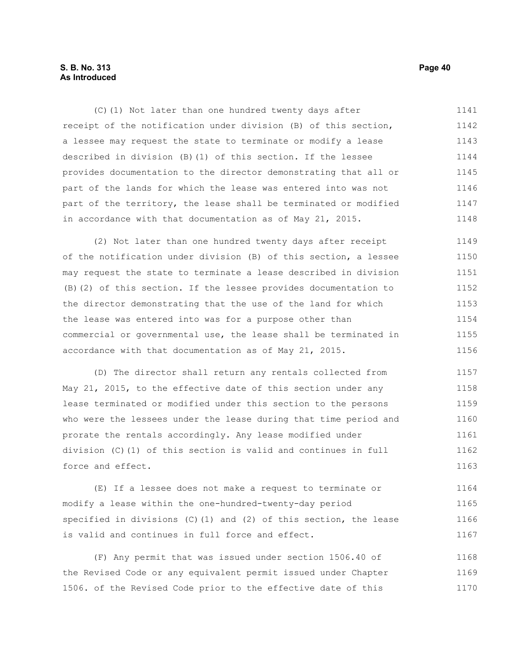#### **S. B. No. 313 Page 40 As Introduced**

(C)(1) Not later than one hundred twenty days after receipt of the notification under division (B) of this section, a lessee may request the state to terminate or modify a lease described in division (B)(1) of this section. If the lessee provides documentation to the director demonstrating that all or part of the lands for which the lease was entered into was not part of the territory, the lease shall be terminated or modified in accordance with that documentation as of May 21, 2015. 1141 1142 1143 1144 1145 1146 1147 1148

(2) Not later than one hundred twenty days after receipt of the notification under division (B) of this section, a lessee may request the state to terminate a lease described in division (B)(2) of this section. If the lessee provides documentation to the director demonstrating that the use of the land for which the lease was entered into was for a purpose other than commercial or governmental use, the lease shall be terminated in accordance with that documentation as of May 21, 2015. 1149 1150 1151 1152 1153 1154 1155 1156

(D) The director shall return any rentals collected from May 21, 2015, to the effective date of this section under any lease terminated or modified under this section to the persons who were the lessees under the lease during that time period and prorate the rentals accordingly. Any lease modified under division (C)(1) of this section is valid and continues in full force and effect. 1157 1158 1159 1160 1161 1162 1163

(E) If a lessee does not make a request to terminate or modify a lease within the one-hundred-twenty-day period specified in divisions (C)(1) and (2) of this section, the lease is valid and continues in full force and effect. 1164 1165 1166 1167

(F) Any permit that was issued under section 1506.40 of the Revised Code or any equivalent permit issued under Chapter 1506. of the Revised Code prior to the effective date of this 1168 1169 1170